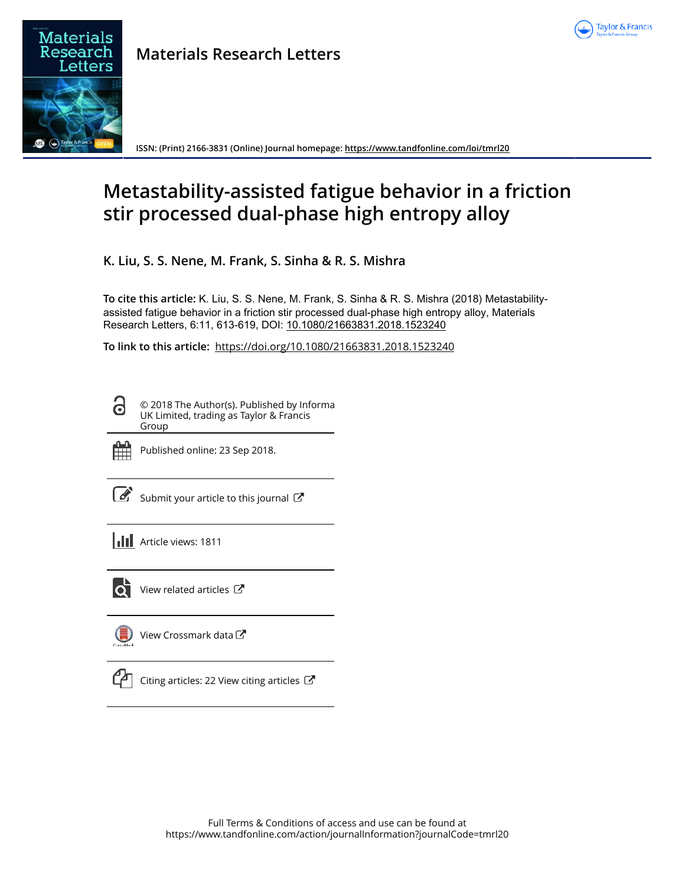



**Materials Research Letters**

**ISSN: (Print) 2166-3831 (Online) Journal homepage: https://www.tandfonline.com/loi/tmrl20**

# **Metastability-assisted fatigue behavior in a friction stir processed dual-phase high entropy alloy**

**K. Liu, S. S. Nene, M. Frank, S. Sinha & R. S. Mishra**

**To cite this article:** K. Liu, S. S. Nene, M. Frank, S. Sinha & R. S. Mishra (2018) Metastabilityassisted fatigue behavior in a friction stir processed dual-phase high entropy alloy, Materials Research Letters, 6:11, 613-619, DOI: 10.1080/21663831.2018.1523240

**To link to this article:** https://doi.org/10.1080/21663831.2018.1523240

© 2018 The Author(s). Published by Informa UK Limited, trading as Taylor & Francis Group



Published online: 23 Sep 2018.

|--|

Submit your article to this journal  $\mathbb{Z}$ 

**Article views: 1811** 



 $\bullet$  View related articles  $\bullet$ 

View Crossmark data C



 $\mathbb{C}$  Citing articles: 22 View citing articles  $\mathbb{C}$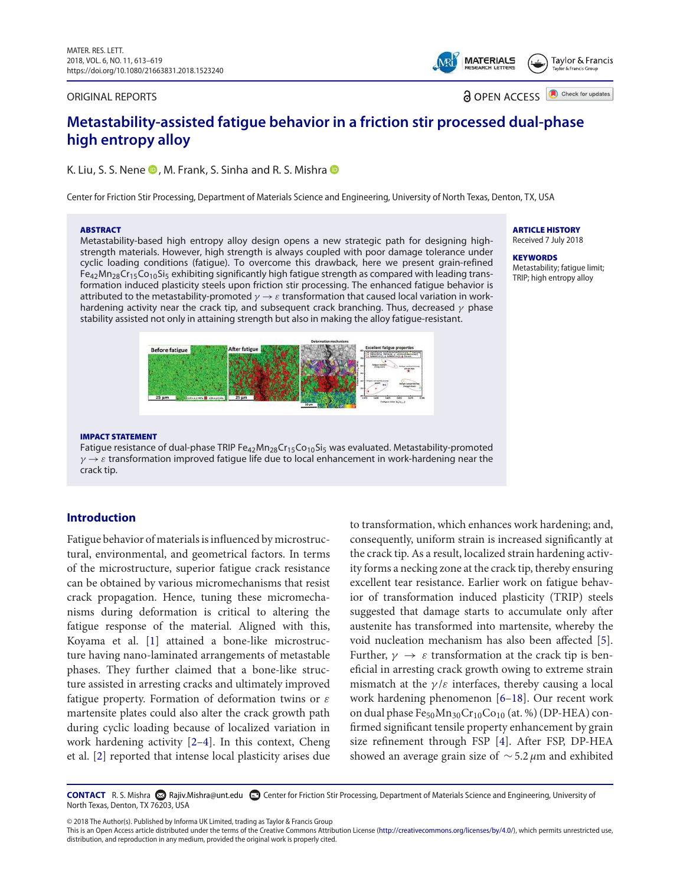#### ORIGINAL REPORTS

**MATERIALS** Taylor & Francis

> Check for updates a OPEN ACCESS

# **Metastability-assisted fatigue behavior in a friction stir processed dual-phase high entropy alloy**

K. Liu, S. S. Nene  $\bullet$ , M. Frank, S. Sinha and R. S. Mishra  $\bullet$ 

Center for Friction Stir Processing, Department of Materials Science and Engineering, University of North Texas, Denton, TX, USA

#### **ABSTRACT**

Metastability-based high entropy alloy design opens a new strategic path for designing highstrength materials. However, high strength is always coupled with poor damage tolerance under cyclic loading conditions (fatigue). To overcome this drawback, here we present grain-refined  $Fe_{42}Mn_{28}Cr_{15}Co_{10}Si_5$  exhibiting significantly high fatigue strength as compared with leading transformation induced plasticity steels upon friction stir processing. The enhanced fatigue behavior is attributed to the metastability-promoted  $\gamma \to \varepsilon$  transformation that caused local variation in workhardening activity near the crack tip, and subsequent crack branching. Thus, decreased  $\gamma$  phase stability assisted not only in attaining strength but also in making the alloy fatigue-resistant.



ARTICLE HISTORY Received 7 July 2018

**KEYWORDS** Metastability; fatigue limit; TRIP; high entropy alloy

#### IMPACT STATEMENT

Fatigue resistance of dual-phase TRIP  $Fe_{42}Mn_{28}Cr_{15}Co_{10}Si_5$  was evaluated. Metastability-promoted  $\gamma \rightarrow \varepsilon$  transformation improved fatigue life due to local enhancement in work-hardening near the crack tip.

## **Introduction**

Fatigue behavior of materials is influenced by microstructural, environmental, and geometrical factors. In terms of the microstructure, superior fatigue crack resistance can be obtained by various micromechanisms that resist crack propagation. Hence, tuning these micromechanisms during deformation is critical to altering the fatigue response of the material. Aligned with this, Koyama et al. [1] attained a bone-like microstructure having nano-laminated arrangements of metastable phases. They further claimed that a bone-like structure assisted in arresting cracks and ultimately improved fatigue property. Formation of deformation twins or  $\varepsilon$ martensite plates could also alter the crack growth path during cyclic loading because of localized variation in work hardening activity [2–4]. In this context, Cheng et al. [2] reported that intense local plasticity arises due

to transformation, which enhances work hardening; and, consequently, uniform strain is increased significantly at the crack tip. As a result, localized strain hardening activity forms a necking zone at the crack tip, thereby ensuring excellent tear resistance. Earlier work on fatigue behavior of transformation induced plasticity (TRIP) steels suggested that damage starts to accumulate only after austenite has transformed into martensite, whereby the void nucleation mechanism has also been affected [5]. Further,  $\gamma \rightarrow \varepsilon$  transformation at the crack tip is beneficial in arresting crack growth owing to extreme strain mismatch at the  $\gamma/\varepsilon$  interfaces, thereby causing a local work hardening phenomenon [6–18]. Our recent work on dual phase  $Fe_{50}Mn_{30}Cr_{10}Co_{10}$  (at. %) (DP-HEA) confirmed significant tensile property enhancement by grain size refinement through FSP [4]. After FSP, DP-HEA showed an average grain size of  $\sim$  5.2 µm and exhibited

CONTACT R. S. Mishra <sup>©</sup> Rajiv.Mishra@unt.edu **■** Center for Friction Stir Processing, Department of Materials Science and Engineering, University of North Texas, Denton, TX 76203, USA

© 2018 The Author(s). Published by Informa UK Limited, trading as Taylor & Francis Group

This is an Open Access article distributed under the terms of the Creative Commons Attribution License (http://creativecommons.org/licenses/by/4.0/), which permits unrestricted use, distribution, and reproduction in any medium, provided the original work is properly cited.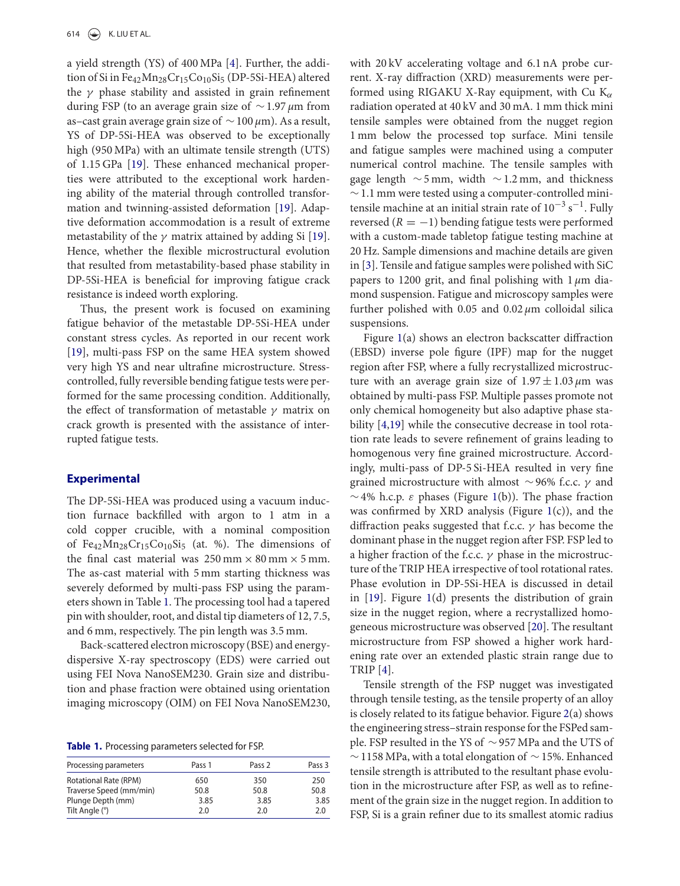a yield strength (YS) of 400 MPa [4]. Further, the addition of Si in Fe<sub>42</sub>Mn<sub>28</sub>Cr<sub>15</sub>Co<sub>10</sub>Si<sub>5</sub> (DP-5Si-HEA) altered the  $\gamma$  phase stability and assisted in grain refinement during FSP (to an average grain size of  $\sim$  1.97 µm from as–cast grain average grain size of  $\sim$  100  $\mu$ m). As a result, YS of DP-5Si-HEA was observed to be exceptionally high (950 MPa) with an ultimate tensile strength (UTS) of 1.15 GPa [19]. These enhanced mechanical properties were attributed to the exceptional work hardening ability of the material through controlled transformation and twinning-assisted deformation [19]. Adaptive deformation accommodation is a result of extreme metastability of the  $\gamma$  matrix attained by adding Si [19]. Hence, whether the flexible microstructural evolution that resulted from metastability-based phase stability in DP-5Si-HEA is beneficial for improving fatigue crack resistance is indeed worth exploring.

Thus, the present work is focused on examining fatigue behavior of the metastable DP-5Si-HEA under constant stress cycles. As reported in our recent work [19], multi-pass FSP on the same HEA system showed very high YS and near ultrafine microstructure. Stresscontrolled, fully reversible bending fatigue tests were performed for the same processing condition. Additionally, the effect of transformation of metastable  $\gamma$  matrix on crack growth is presented with the assistance of interrupted fatigue tests.

# **Experimental**

The DP-5Si-HEA was produced using a vacuum induction furnace backfilled with argon to 1 atm in a cold copper crucible, with a nominal composition of Fe<sub>42</sub>Mn<sub>28</sub>Cr<sub>15</sub>Co<sub>10</sub>Si<sub>5</sub> (at. %). The dimensions of the final cast material was  $250 \text{ mm} \times 80 \text{ mm} \times 5 \text{ mm}$ . The as-cast material with 5 mm starting thickness was severely deformed by multi-pass FSP using the parameters shown in Table 1. The processing tool had a tapered pin with shoulder, root, and distal tip diameters of 12, 7.5, and 6 mm, respectively. The pin length was 3.5 mm.

Back-scattered electron microscopy (BSE) and energydispersive X-ray spectroscopy (EDS) were carried out using FEI Nova NanoSEM230. Grain size and distribution and phase fraction were obtained using orientation imaging microscopy (OIM) on FEI Nova NanoSEM230,

**Table 1.** Processing parameters selected for FSP.

| Pass 1 | Pass 2 | Pass 3 |
|--------|--------|--------|
| 650    | 350    | 250    |
| 50.8   | 50.8   | 50.8   |
| 3.85   | 3.85   | 3.85   |
| 2.0    | 2.0    | 2.0    |
|        |        |        |

with 20 kV accelerating voltage and 6.1 nA probe current. X-ray diffraction (XRD) measurements were performed using RIGAKU X-Ray equipment, with Cu  $K_{\alpha}$ radiation operated at 40 kV and 30 mA. 1 mm thick mini tensile samples were obtained from the nugget region 1 mm below the processed top surface. Mini tensile and fatigue samples were machined using a computer numerical control machine. The tensile samples with gage length  $∼5$  mm, width  $∼1.2$  mm, and thickness ∼1.1 mm were tested using a computer-controlled minitensile machine at an initial strain rate of  $10^{-3}$  s<sup>-1</sup>. Fully reversed ( $R = -1$ ) bending fatigue tests were performed with a custom-made tabletop fatigue testing machine at 20 Hz. Sample dimensions and machine details are given in [3]. Tensile and fatigue samples were polished with SiC papers to 1200 grit, and final polishing with  $1 \mu m$  diamond suspension. Fatigue and microscopy samples were further polished with 0.05 and 0.02  $\mu$ m colloidal silica suspensions.

Figure 1(a) shows an electron backscatter diffraction (EBSD) inverse pole figure (IPF) map for the nugget region after FSP, where a fully recrystallized microstructure with an average grain size of  $1.97 \pm 1.03 \,\mu m$  was obtained by multi-pass FSP. Multiple passes promote not only chemical homogeneity but also adaptive phase stability [4,19] while the consecutive decrease in tool rotation rate leads to severe refinement of grains leading to homogenous very fine grained microstructure. Accordingly, multi-pass of DP-5 Si-HEA resulted in very fine grained microstructure with almost ∼96% f.c.c.  $\gamma$  and  $\sim$  4% h.c.p.  $\varepsilon$  phases (Figure 1(b)). The phase fraction was confirmed by XRD analysis (Figure 1(c)), and the diffraction peaks suggested that f.c.c.  $\gamma$  has become the dominant phase in the nugget region after FSP. FSP led to a higher fraction of the f.c.c.  $\gamma$  phase in the microstructure of the TRIP HEA irrespective of tool rotational rates. Phase evolution in DP-5Si-HEA is discussed in detail in [19]. Figure 1(d) presents the distribution of grain size in the nugget region, where a recrystallized homogeneous microstructure was observed [20]. The resultant microstructure from FSP showed a higher work hardening rate over an extended plastic strain range due to TRIP [4].

Tensile strength of the FSP nugget was investigated through tensile testing, as the tensile property of an alloy is closely related to its fatigue behavior. Figure 2(a) shows the engineering stress–strain response for the FSPed sample. FSP resulted in the YS of ∼957 MPa and the UTS of  $∼1158$  MPa, with a total elongation of  $∼15%$ . Enhanced tensile strength is attributed to the resultant phase evolution in the microstructure after FSP, as well as to refinement of the grain size in the nugget region. In addition to FSP, Si is a grain refiner due to its smallest atomic radius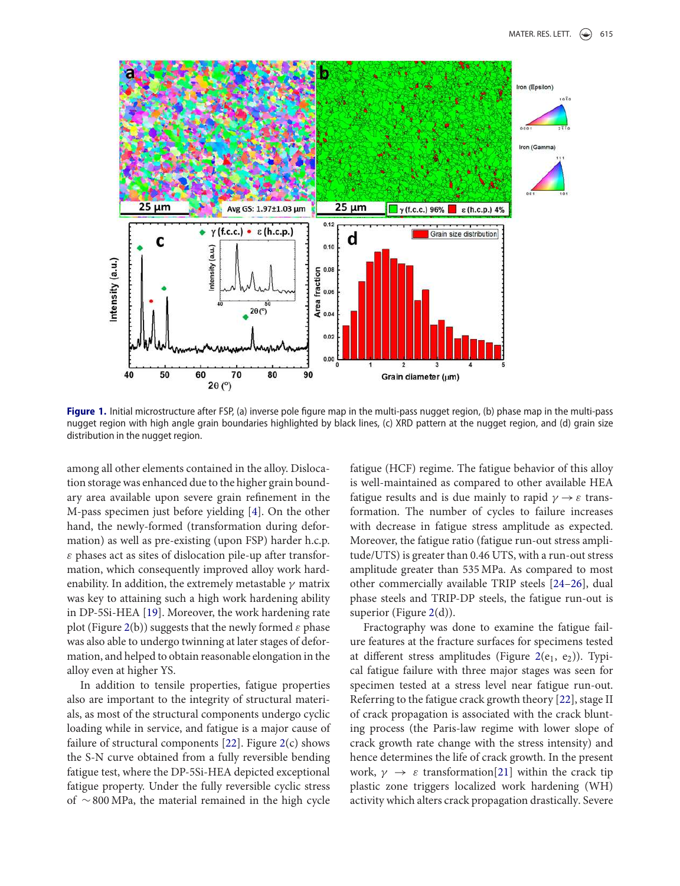

**Figure 1.** Initial microstructure after FSP, (a) inverse pole figure map in the multi-pass nugget region, (b) phase map in the multi-pass nugget region with high angle grain boundaries highlighted by black lines, (c) XRD pattern at the nugget region, and (d) grain size distribution in the nugget region.

among all other elements contained in the alloy. Dislocation storage was enhanced due to the higher grain boundary area available upon severe grain refinement in the M-pass specimen just before yielding [4]. On the other hand, the newly-formed (transformation during deformation) as well as pre-existing (upon FSP) harder h.c.p.  $\varepsilon$  phases act as sites of dislocation pile-up after transformation, which consequently improved alloy work hardenability. In addition, the extremely metastable  $\gamma$  matrix was key to attaining such a high work hardening ability in DP-5Si-HEA [19]. Moreover, the work hardening rate plot (Figure 2(b)) suggests that the newly formed  $\varepsilon$  phase was also able to undergo twinning at later stages of deformation, and helped to obtain reasonable elongation in the alloy even at higher YS.

In addition to tensile properties, fatigue properties also are important to the integrity of structural materials, as most of the structural components undergo cyclic loading while in service, and fatigue is a major cause of failure of structural components [22]. Figure 2(c) shows the S-N curve obtained from a fully reversible bending fatigue test, where the DP-5Si-HEA depicted exceptional fatigue property. Under the fully reversible cyclic stress of ∼800 MPa, the material remained in the high cycle fatigue (HCF) regime. The fatigue behavior of this alloy is well-maintained as compared to other available HEA fatigue results and is due mainly to rapid  $\gamma \rightarrow \varepsilon$  transformation. The number of cycles to failure increases with decrease in fatigue stress amplitude as expected. Moreover, the fatigue ratio (fatigue run-out stress amplitude/UTS) is greater than 0.46 UTS, with a run-out stress amplitude greater than 535 MPa. As compared to most other commercially available TRIP steels [24–26], dual phase steels and TRIP-DP steels, the fatigue run-out is superior (Figure 2(d)).

Fractography was done to examine the fatigue failure features at the fracture surfaces for specimens tested at different stress amplitudes (Figure 2 $(e_1, e_2)$ ). Typical fatigue failure with three major stages was seen for specimen tested at a stress level near fatigue run-out. Referring to the fatigue crack growth theory [22], stage II of crack propagation is associated with the crack blunting process (the Paris-law regime with lower slope of crack growth rate change with the stress intensity) and hence determines the life of crack growth. In the present work,  $\gamma \rightarrow \varepsilon$  transformation[21] within the crack tip plastic zone triggers localized work hardening (WH) activity which alters crack propagation drastically. Severe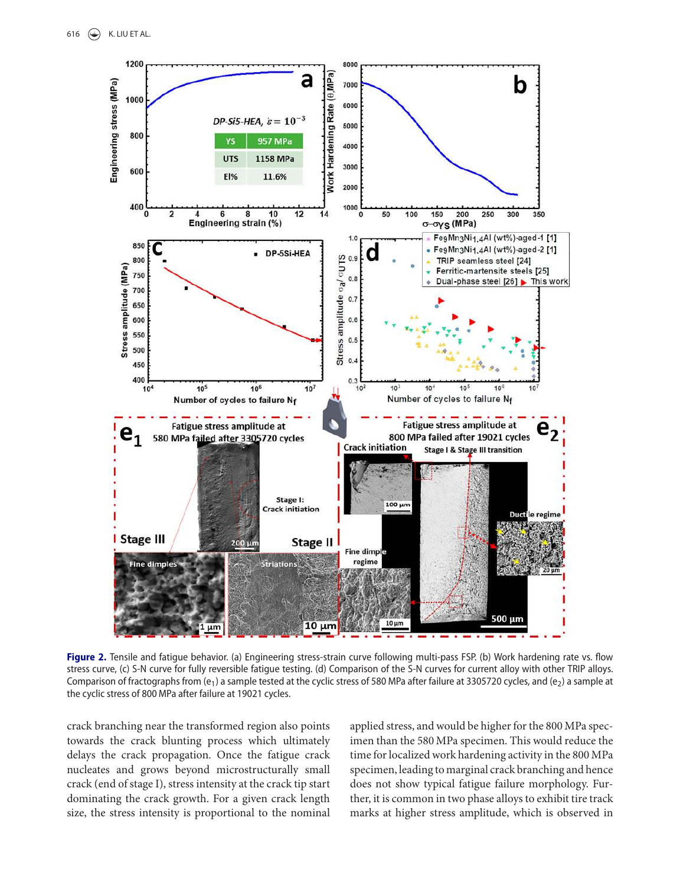

Figure 2. Tensile and fatigue behavior. (a) Engineering stress-strain curve following multi-pass FSP. (b) Work hardening rate vs. flow stress curve, (c) S-N curve for fully reversible fatigue testing. (d) Comparison of the S-N curves for current alloy with other TRIP alloys. Comparison of fractographs from  $(e_1)$  a sample tested at the cyclic stress of 580 MPa after failure at 3305720 cycles, and  $(e_2)$  a sample at the cyclic stress of 800 MPa after failure at 19021 cycles.

crack branching near the transformed region also points towards the crack blunting process which ultimately delays the crack propagation. Once the fatigue crack nucleates and grows beyond microstructurally small crack (end of stage I), stress intensity at the crack tip start dominating the crack growth. For a given crack length size, the stress intensity is proportional to the nominal applied stress, and would be higher for the 800 MPa specimen than the 580 MPa specimen. This would reduce the time for localized work hardening activity in the 800 MPa specimen, leading to marginal crack branching and hence does not show typical fatigue failure morphology. Further, it is common in two phase alloys to exhibit tire track marks at higher stress amplitude, which is observed in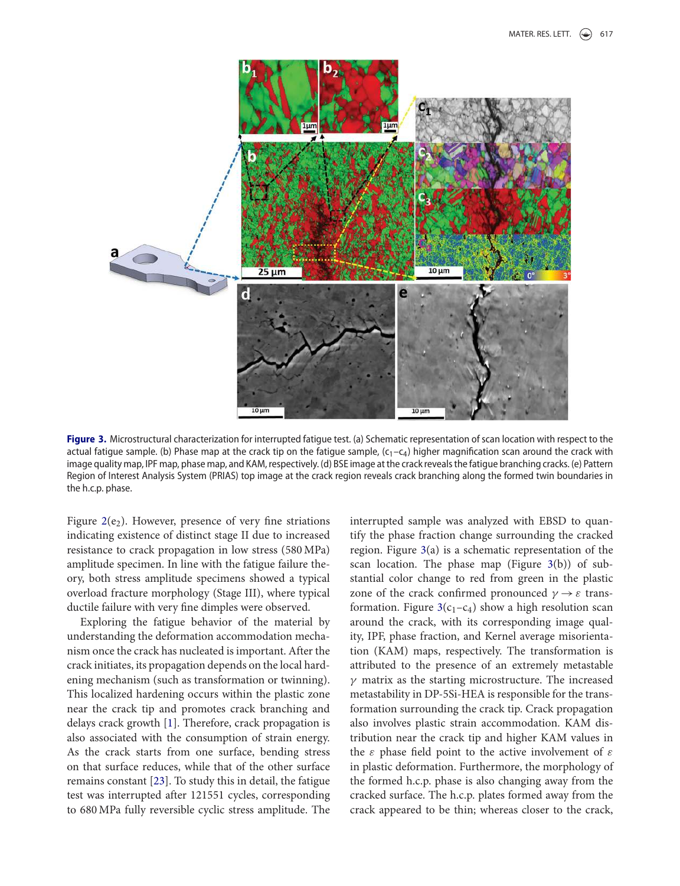

Figure 3. Microstructural characterization for interrupted fatigue test. (a) Schematic representation of scan location with respect to the actual fatigue sample. (b) Phase map at the crack tip on the fatigue sample,  $(c_1-c_4)$  higher magnification scan around the crack with image quality map, IPF map, phase map, and KAM, respectively. (d) BSE image at the crack reveals the fatigue branching cracks. (e) Pattern Region of Interest Analysis System (PRIAS) top image at the crack region reveals crack branching along the formed twin boundaries in the h.c.p. phase.

Figure  $2(e_2)$ . However, presence of very fine striations indicating existence of distinct stage II due to increased resistance to crack propagation in low stress (580 MPa) amplitude specimen. In line with the fatigue failure theory, both stress amplitude specimens showed a typical overload fracture morphology (Stage III), where typical ductile failure with very fine dimples were observed.

Exploring the fatigue behavior of the material by understanding the deformation accommodation mechanism once the crack has nucleated is important. After the crack initiates, its propagation depends on the local hardening mechanism (such as transformation or twinning). This localized hardening occurs within the plastic zone near the crack tip and promotes crack branching and delays crack growth [1]. Therefore, crack propagation is also associated with the consumption of strain energy. As the crack starts from one surface, bending stress on that surface reduces, while that of the other surface remains constant [23]. To study this in detail, the fatigue test was interrupted after 121551 cycles, corresponding to 680 MPa fully reversible cyclic stress amplitude. The interrupted sample was analyzed with EBSD to quantify the phase fraction change surrounding the cracked region. Figure 3(a) is a schematic representation of the scan location. The phase map (Figure 3(b)) of substantial color change to red from green in the plastic zone of the crack confirmed pronounced  $\gamma \rightarrow \varepsilon$  transformation. Figure  $3(c_1-c_4)$  show a high resolution scan around the crack, with its corresponding image quality, IPF, phase fraction, and Kernel average misorientation (KAM) maps, respectively. The transformation is attributed to the presence of an extremely metastable  $\gamma$  matrix as the starting microstructure. The increased metastability in DP-5Si-HEA is responsible for the transformation surrounding the crack tip. Crack propagation also involves plastic strain accommodation. KAM distribution near the crack tip and higher KAM values in the  $\varepsilon$  phase field point to the active involvement of  $\varepsilon$ in plastic deformation. Furthermore, the morphology of the formed h.c.p. phase is also changing away from the cracked surface. The h.c.p. plates formed away from the crack appeared to be thin; whereas closer to the crack,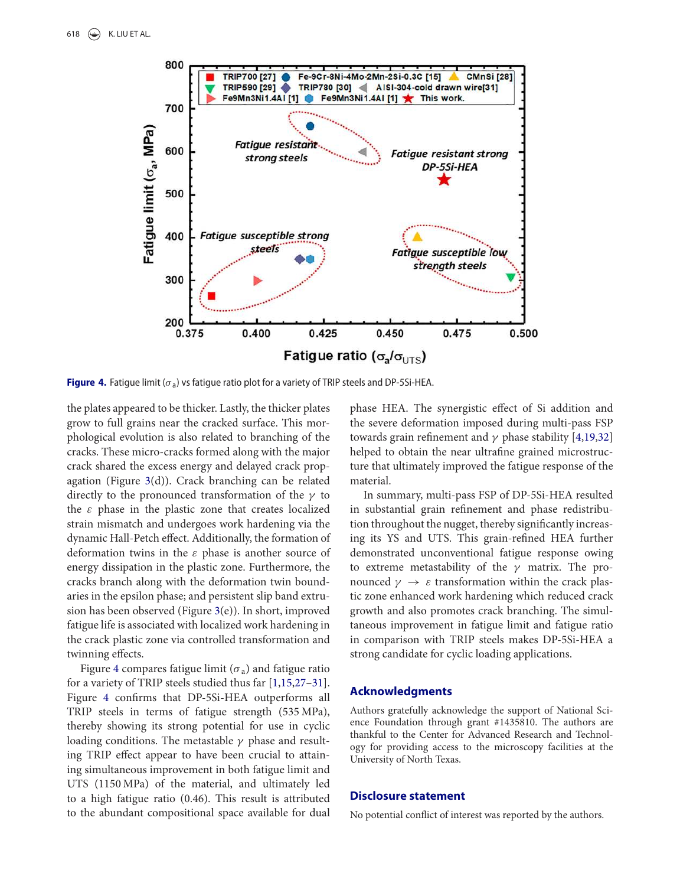

**Figure 4.** Fatigue limit ( $\sigma_a$ ) vs fatigue ratio plot for a variety of TRIP steels and DP-5Si-HEA.

the plates appeared to be thicker. Lastly, the thicker plates grow to full grains near the cracked surface. This morphological evolution is also related to branching of the cracks. These micro-cracks formed along with the major crack shared the excess energy and delayed crack propagation (Figure 3(d)). Crack branching can be related directly to the pronounced transformation of the  $\gamma$  to the  $\varepsilon$  phase in the plastic zone that creates localized strain mismatch and undergoes work hardening via the dynamic Hall-Petch effect. Additionally, the formation of deformation twins in the  $\varepsilon$  phase is another source of energy dissipation in the plastic zone. Furthermore, the cracks branch along with the deformation twin boundaries in the epsilon phase; and persistent slip band extrusion has been observed (Figure 3(e)). In short, improved fatigue life is associated with localized work hardening in the crack plastic zone via controlled transformation and twinning effects.

Figure 4 compares fatigue limit ( $\sigma$ <sub>a</sub>) and fatigue ratio for a variety of TRIP steels studied thus far [1,15,27–31]. Figure 4 confirms that DP-5Si-HEA outperforms all TRIP steels in terms of fatigue strength (535 MPa), thereby showing its strong potential for use in cyclic loading conditions. The metastable  $\gamma$  phase and resulting TRIP effect appear to have been crucial to attaining simultaneous improvement in both fatigue limit and UTS (1150 MPa) of the material, and ultimately led to a high fatigue ratio (0.46). This result is attributed to the abundant compositional space available for dual phase HEA. The synergistic effect of Si addition and the severe deformation imposed during multi-pass FSP towards grain refinement and  $\gamma$  phase stability [4,19,32] helped to obtain the near ultrafine grained microstructure that ultimately improved the fatigue response of the material.

In summary, multi-pass FSP of DP-5Si-HEA resulted in substantial grain refinement and phase redistribution throughout the nugget, thereby significantly increasing its YS and UTS. This grain-refined HEA further demonstrated unconventional fatigue response owing to extreme metastability of the  $\gamma$  matrix. The pronounced  $\gamma \rightarrow \varepsilon$  transformation within the crack plastic zone enhanced work hardening which reduced crack growth and also promotes crack branching. The simultaneous improvement in fatigue limit and fatigue ratio in comparison with TRIP steels makes DP-5Si-HEA a strong candidate for cyclic loading applications.

#### **Acknowledgments**

Authors gratefully acknowledge the support of National Science Foundation through grant #1435810. The authors are thankful to the Center for Advanced Research and Technology for providing access to the microscopy facilities at the University of North Texas.

#### **Disclosure statement**

No potential conflict of interest was reported by the authors.